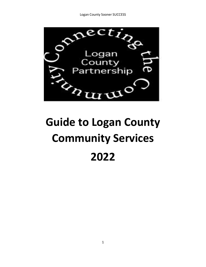

# **Guide to Logan County Community Services 2022**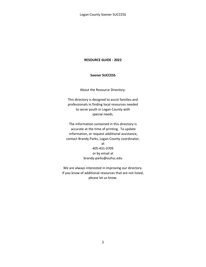#### **RESOURCE GUIDE - 2022**

#### **Sooner SUCCESS**

About the Resource Directory:

This directory is designed to assist families and professionals in finding local resources needed to serve youth in Logan County with special needs.

The information contained in this directory is accurate at the time of printing. To update information, or request additional assistance, contact Brandy Parks, Logan County coordinator,

> at 405-431-0709 or by email at brandy-parks@ouhsc.edu

We are always interested in improving our directory. If you know of additional resources that are not listed, please let us know.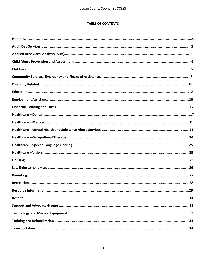# **TABLE OF CONTENTS**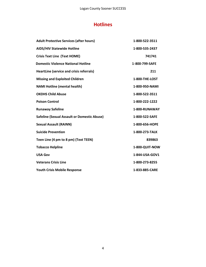# **Hotlines**

| <b>Adult Protective Services (after hours)</b>     | 1-800-522-3511 |
|----------------------------------------------------|----------------|
| <b>AIDS/HIV Statewide Hotline</b>                  | 1-800-535-2437 |
| <b>Crisis Text Line (Text HOME)</b>                | 741741         |
| <b>Domestic Violence National Hotline</b>          | 1-800-799-SAFE |
| <b>HeartLine (service and crisis referrals)</b>    | 211            |
| <b>Missing and Exploited Children</b>              | 1-800-THE-LOST |
| <b>NAMI Hotline (mental health)</b>                | 1-800-950-NAMI |
| <b>OKDHS Child Abuse</b>                           | 1-800-522-3511 |
| <b>Poison Control</b>                              | 1-800-222-1222 |
| <b>Runaway Safeline</b>                            | 1-800-RUNAWAY  |
| <b>Safeline (Sexual Assault or Domestic Abuse)</b> | 1-800-522-SAFE |
| <b>Sexual Assault (RAINN)</b>                      | 1-800-656-HOPE |
| <b>Suicide Prevention</b>                          | 1-800-273-TALK |
| Teen Line (4 pm to 8 pm) (Text TEEN)               | 839863         |
| <b>Tobacco Helpline</b>                            | 1-800-QUIT-NOW |
| <b>USA Gov</b>                                     | 1-844-USA-GOV1 |
| <b>Veterans Crisis Line</b>                        | 1-800-273-8255 |
| <b>Youth Crisis Mobile Response</b>                | 1-833-885-CARE |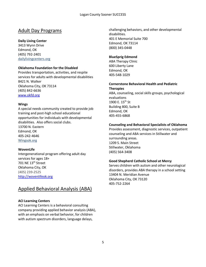# Adult Day Programs

## **Daily Living Center**

3413 Wynn Drive Edmond, OK (405) 792-2401 dailylivingcenters.org

## **Oklahoma Foundation for the Disabled**

Provides transportation, activities, and respite services for adults with developmental disabilities 8421 N. Walker Oklahoma City, OK 73114 (405) 842-6636 [www.okfd.org](http://www.okfd.org/)

#### **Wings**

A special needs community created to provide job training and post-high school educational opportunities for individuals with developmental disabilities. Also offers social clubs. 13700 N. Eastern Edmond, OK 405-242-4646 Wingsok.org

#### **WovenLife**

Intergenerational program offering adult day services for ages 18+ 701 NE 13<sup>th</sup> Street Oklahoma City, OK (405) 239-2525 [http://wovenlifeok.org](http://wovenlifeok.org/)

# Applied Behavioral Analysis (ABA)

# **ACI Learning Centers**

ACI Learning Centers is a behavioral consulting company providing applied behavior analysis (ABA), with an emphasis on verbal behavior, for children with autism spectrum disorders, language delays,

challenging behaviors, and other developmental disabilities. 401 E Memorial Suite 700 Edmond, OK 73114 (800) 345-0448

## **BlueSprig Edmond**

ABA Therapy Clinic 600 Liberty Lane Edmond, OK 405-548-1029

# **Cornerstone Behavioral Health and Pediatric**

**Therapies** ABA, counseling, social skills groups, psychological evaluations 1900 E. 15<sup>th</sup> St Building 800, Suite B Edmond, OK 405-455-6868

#### **Counseling and Behavioral Specialists of Oklahoma**

Provides assessment, diagnostic services, outpatient counseling and ABA services in Stillwater and surrounding areas. 1209 S. Main Street Stillwater, Oklahoma (405) 564-3408

#### **Good Shepherd Catholic School at Mercy**

Serves children with autism and other neurological disorders, provides ABA therapy in a school setting 13404 N. Meridian Avenue Oklahoma City, OK 73120 405-752-2264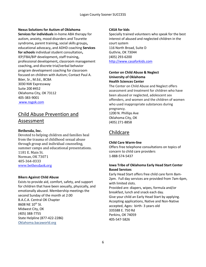## **Nexus Solutions for Autism of Oklahoma**

**Services for individuals** in-home ABA therapy for autism, anxiety, mood disorders and Tourette syndrome**,** parent training**,** social skills groups**,**  educational advocacy**,** and ADHD coaching **Services for schools** individual student consultation**,**  IEP/FBA/BIP development**,** staff training**,**  professional development**,** classroom management coaching**,** and discrete trial/verbal behavior program development coaching for classroom focused on children with Autism; Contact Paul A. Böer, Sr., M.Ed., BCBA 3030 NW Expressway Suite 200 #452 Oklahoma City, OK 73112 405-383-9001 [www.nsgok.com](http://www.nsgok.com/)

# Child Abuse Prevention and Assessment

# **Bethesda, Inc.**

Devoted to helping children and families heal from the trauma of childhood sexual abuse through group and individual counseling, summer camps and educational presentations. 1181 E. Main St. Norman, OK 73071 405-364-0333 [www.bethesdaok.org](http://www.bethesdaok.org/)

#### **Bikers Against Child Abuse**

Exists to provide aid, comfort, safety, and support for children that have been sexually, physically, and emotionally abused. Membership meetings the second Sunday of the month at 2:00 B.A.C.A. Central OK Chapter 8608 NE 10<sup>th</sup> St. Midwest City, OK (405) 388-7755 State Helpline (877-422-2286) Oklahoma.bacaworld.org

## **CASA for kids**

Specially trained volunteers who speak for the best interest of abused and neglected children in the court system 116 North Broad, Suite D Guthrie, OK 73044 (405) 293-6200 [http://www.casaforkids.com](http://www.casaforkids.com/)

# **Center on Child Abuse & Neglect University of Oklahoma Health Sciences Center**

The Center on Child Abuse and Neglect offers assessment and treatment for children who have been abused or neglected, adolescent sex offenders, and women and the children of women who used inappropriate substances during pregnancy.

1200 N. Phillips Ave Oklahoma City, OK (405) 271-8858

# Childcare

# **Child Care Warm-line**

Offers free telephone consultations on topics of concern to child care providers 1-888-574-5437

# **Iowa Tribe of Oklahoma Early Head Start Center Based Services**

Early Head Start offers free child care form 8am-2pm. Full day services are provided from 7am-6pm, with limited slots. Provided are: diapers, wipes, formula and/or breakfast, lunch and snack each day. Give your child an Early Head Start by applying. Accepting applications, Native and Non-Native accepted, Ages: birth- 3 years old 335588 E. 750 Rd Perkins, OK 74059 405-547-5826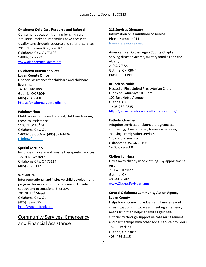#### **Oklahoma Child Care Resource and Referral**

Consumer education, training for child care providers, makes sure families have access to quality care through resource and referral services 2915 N. Classen Blvd, Ste. 405 Oklahoma City, OK 73106 1-888-962-2772 [www.oklahomachildcare.org](http://www.oklahomachildcare.org/)

# **Oklahoma Human Services**

**Logan County Office** Financial assistance for childcare and childcare licensing. 1414 S. Division Guthrie, OK 73044 (405) 264-2700 <https://oklahoma.gov/okdhs.html>

#### **Rainbow Fleet**

Childcare resource and referral, childcare training, technical assistance 1105 N. W 45<sup>th</sup> St Oklahoma City, OK 1-800-438-0008 or (405) 521-1426 rainbowfleet.org

#### **Special Care Inc.**

Inclusive childcare and on-site therapeutic services. 12201 N. Western Oklahoma City, OK 73114 (405) 752-5112

#### **WovenLife**

Intergenerational and inclusive child development program for ages 3 months to 5 years. On-site speech and occupational therapy. 701 NE 13<sup>th</sup> Street Oklahoma City, OK (405) 239-2525 [http://wovenlifeok.org](http://wovenlifeok.org/)

# Community Services, Emergency and Financial Assistance

#### **211 Services Directory**

Information on a multitude of services Phone Number: 211 Navigateresources.net

#### **American Red Cross-Logan County Chapter**

Serving disaster victims, military families and the elderly 219 S. 2<sup>nd</sup> St. Guthrie, OK 73044 (405) 282-1194

#### **Brunch on Noble**

Hosted at First United Presbyterian Church Lunch on Saturdays 10-11am 102 East Noble Avenue Guthrie, OK 1-405-282-0835 <https://www.facebook.com/brunchonnoble/>

#### **Catholic Charities**

Adoption services, unplanned pregnancies, counseling, disaster relief, homeless services, housing, immigration services. 1232 N Classen Blvd Oklahoma City, OK 73106 1-405-523-3000

#### **Clothes for Hugs**

Gives away slightly used clothing. By appointment only. 210 W. Harrison Guthrie, OK 405-410-6481 [www.ClothesForHugs.com](http://www.clothesforhugs.com/)

## **Central Oklahoma Community Action Agency – Logan County**

Helps low-income individuals and families avoid crisis situations in two ways: meeting emergency needs first, then helping families gain selfsufficiency through supportive case management and partnerships with other social service providers. 1524 E Perkins Guthrie, OK 73044 405- 466-8115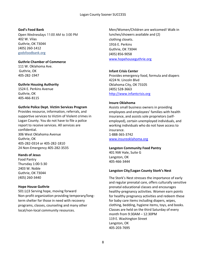#### **God's Food Bank**

Open Wednesdays 11:00 AM to 3:00 PM 402 W. Vilas Guthrie, OK 73044 (405) 260-1412 godsfoodbank.org

#### **Guthrie Chamber of Commerce**

111 W. Oklahoma Ave. Guthrie, OK 405-282-1947

## **Guthrie Housing Authority**

1524 E. Perkins Avenue Guthrie, OK 405-466-8115

#### **Guthrie Police Dept. Victim Services Program**

Provides resource, information, referrals, and supportive services to Victim of Violent crimes in Logan County. You do not have to file a police report to receive services. All services are confidential. 306 West Oklahoma Avenue Guthrie, OK 405-282-0314 or 405-282-1810 24 Non-Emergency 405-282-3535

#### **Hands of Jesus**

Food Pantry Thursday 1:00-5:30 2403 W. Noble Guthrie, OK 73044 (405) 260-3440

#### **Hope House Guthrie**

501 (c)3 Serving hope, moving forward Non-profit organization providing temporary/longterm shelter for those in need with recovery programs, classes, counseling and many other local/non-local community resources.

Men/Women/Children are welcomed! Walk-in lunches/showers available and (2) clothing closets. 1916 E. Perkins Guthrie, OK 73044 (405) 856-9058 [www.hopehouseguthrie.org](http://www.hopehouseguthrie.org/)

#### **Infant Crisis Center**

Provides emergency food, formula and diapers 4224 N. Lincoln Blvd Oklahoma City, OK 73105 (405) 528-3663 [http://www.infantcrisis.org](http://www.infantcrisis.org/)

#### **Insure Oklahoma**

Assists small business owners in providing employees and employees' families with health insurance, and assists sole proprietors (selfemployed), certain unemployed individuals, and working individuals who do not have access to insurance. 1-888-365-3742 [www.insureoklahoma.org](http://www.insureoklahoma.org/)

#### **Langston Community Food Pantry**

401 NW Hale, Suite G Langston, OK 405-466-3444

#### **Langston City/Logan County Stork's Nest**

The Stork's Nest stresses the importance of early and regular prenatal care, offers culturally sensitive prenatal educational classes and encourages healthy-pregnancy activities. Women earn points for healthy pregnancy activities and redeem these for baby care items including diapers, wipes, clothing, bedding, hygiene items, toys, and books. Classes are held on the third Saturday of every month from 9:30AM – 12:30PM 119 E. Washington Street Langston, OK 405-203-7695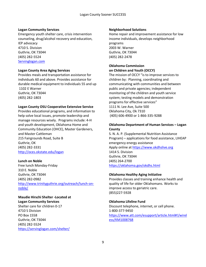#### **Logan Community Services**

Emergency youth shelter care, crisis intervention counseling, drug/alcohol recovery and education, IEP advocacy 4710 S. Division Guthrie, OK 73044 (405) 282-5524 Servinglogan.com

#### **Logan County Area Aging Services**

Provides meals and transportation assistance for individuals 60 and above. Provides assistance for durable medical equipment to individuals 55 and up 1102 E Warner Guthrie, OK 73044 (405) 282-1803

#### **Logan County OSU Cooperative Extensive Service**

Provides educational programs, and information to help solve local issues, promote leadership and manage resources wisely. Programs include: 4-H and youth development, Oklahoma Home and Community Education (OHCE), Master Gardeners, and Master Cattleman 215 Fairgrounds Road, Suite B Guthrie, OK (405) 282-3331 <http://oces.okstate.edu/logan>

#### **Lunch on Noble**

Free lunch Monday-Friday 310 E. Noble Guthrie, OK 73044 (405) 282-0982 [http://www.trinityguthrie.org/outreach/lunch-on](http://www.trinityguthrie.org/outreach/lunch-on-noble/)[noble/](http://www.trinityguthrie.org/outreach/lunch-on-noble/)

# **Maudie Hirschi Shelter -Located at**

**Logan Community Services** Shelter care for children 0-17 4710 S Division PO Box 1558 Guthrie, OK 73044 (405) 282-5524 <https://servinglogan.com/shelter/>

#### **Neighborhood Solutions**

Home repair and improvement assistance for low income individuals, develops neighborhood programs 2003 W. Warner Guthrie, OK 73044 (405) 282-2478

#### **Oklahoma Commission on Children and Youth (OCCY)**

The mission of OCCY "is to improve services to children by: Planning, coordinating and communicating with communities and between public and private agencies; independent monitoring of the children and youth service system; testing models and demonstration programs for effective services" 1111 N. Lee Ave, Suite 500 Oklahoma City, Ok 7310 (405) 606-4900 or 1-866-335-9288

#### **Oklahoma Department of Human Services – Logan County**

S. N. A. P. (Supplemental Nutrition Assistance Program) – applications for food assistance, LIHEAP emergency energy assistance Apply online a[t https://www.okdhslive.org](https://webmail.ouhsc.edu/owa/redir.aspx?C=V37J_bN6EGgZApKOJR2prDGqZj0MSQDtY2WWCM5jkP1B5blfA3rVCA..&URL=https%3a%2f%2furldefense.proofpoint.com%2fv2%2furl%3fu%3dhttps-3A__www.okdhslive.org%26d%3dDwMFAg%26c%3dVjzId-SM5S6aVB_cCGQ0d3uo9UfKByQ3sI6Audoy6dY%26r%3dC5M3lCHmTkEc2kzYjlUb36rGD-YsphdCt_FyvDhrDXY%26m%3dn5yr7-B0K4CnJRp8XULn7ohHZ445ZZ3z2h0oUU9n2xQ%26s%3d6mFl5hA2Eb_JJ8iH2rKNfRV0QgOEh6Vl28o-OlzTHUQ%26e%3d) 1414 S. Division Guthrie, OK 73044 (405) 264-2700 <https://oklahoma.gov/okdhs.html>

#### **Oklahoma Healthy Aging Initiative**

Provides classes and training enhance health and quality of life for older Oklahomans. Works to improve access to geriatric care. (855)227-5928

#### **Oklahoma Lifeline Fund**

Discount telephone, internet, or cell phone. 1-800-377-9450 [https://www.att.com/esupport/article.html#!/wirel](https://www.att.com/esupport/article.html#!/wireless/KM1008768) [ess/KM1008768](https://www.att.com/esupport/article.html#!/wireless/KM1008768)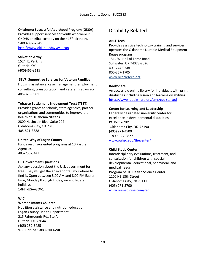## **Oklahoma Successful Adulthood Program (OKSA)**

Provides support services for youth who were in OKDHS or tribal custody on their 18<sup>th</sup> birthday. 1-800-397-2945 <http://www.okil.ou.edu/yes-i-can>

#### **Salvation Army**

1524 E. Perkins Guthrie, OK (405)466-8115

#### **SSVF: Supportive Services for Veteran Families**

Housing assistance, case management, employment consultant, transportation, and veteran's advocacy 405-326-6981

#### **Tobacco Settlement Endowment Trust (TSET)**

Provides grants to schools, state agencies, partner organizations and communities to improve the health of Oklahoma citizens 2800 N. Lincoln Blvd, Suite 202 Oklahoma City, OK 73105 405-521-3888

#### **United Way of Logan County**

Funds results-oriented programs at 10 Partner Agencies 405-236-8441

#### **US Government Questions**

Ask any question about the U.S. government for free. They will get the answer or tell you where to find it. Open between 8:00 AM and 8:00 PM Eastern time, Monday through Friday, except federal holidays. 1-844-USA-GOV1

#### **WIC**

#### **Women Infants Children**

Nutrition assistance and nutrition education Logan County Health Department 215 Fairgrounds Rd., Ste A Guthrie, OK 73044 (405) 282-3485 WIC Hotline 1-888-OKLAWIC

# Disability Related

#### **ABLE Tech**

Provides assistive technology training and services; operates the Oklahoma Durable Medical Equipment Reuse program 1514 W. Hall of Fame Road Stillwater, OK 74078-2026 405-744-9748 800-257-1705 www.okabletech.org

#### **BookShare**

An accessible online library for individuals with print disabilities including vision and learning disabilities <https://www.bookshare.org/cms/get-started>

#### **Center for Learning and Leadership**

Federally designated university center for excellence in developmental disabilities PO Box 26901 Oklahoma City, OK 73190 (405) 271-4500 1-800-627-6827 [www.ouhsc.edu/thecenter/](http://www.ouhsc.edu/thecenter/)

#### **Child Study Center**

Interdisciplinary evaluations, treatment, and consultation for children with special developmental, educational, behavioral, and medical needs. Program of OU Health Science Center 1100 NE 13th Street Oklahoma City, OK 73117 (405) 271-5700 [www.oumedicine.com/csc](http://www.oumedicine.com/csc)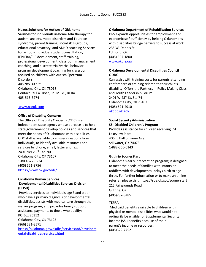#### **Nexus Solutions for Autism of Oklahoma**

**Services for individuals** in-home ABA therapy for autism, anxiety, mood disorders and Tourette syndrome**,** parent training**,** social skills groups**,**  educational advocacy**,** and ADHD coaching **Services for schools** individual student consultation**,**  IEP/FBA/BIP development**,** staff training**,**  professional development**,** classroom management coaching**,** and discrete trial/verbal behavior program development coaching for classroom focused on children with Autism Spectrum **Disorders** 405 NW 30th St Oklahoma City, OK 73018 Contact Paul A. Böer, Sr., M.Ed., BCBA 405-513-3274

#### [www.nsgok.com](http://www.nsgok.com/)

#### **Office of Disability Concerns**

The Office of Disability Concerns (ODC) is an independent state agency whose purpose is to help state government develop policies and services that meet the needs of Oklahomans with disabilities. ODC staff is available to answer questions from individuals, to identify available resources and services by phone, email, letter and fax. 2401 NW 23rd, Ste. 90 Oklahoma City, OK 73107 1-800-522-8224 (405) 521-3756 <https://www.ok.gov/odc/>

## **Oklahoma Human Services Developmental Disabilities Services Division (DDSD)**

Provides services to individuals age 3 and older who have a primary diagnosis of developmental disabilities, assists with medical care through the waiver program, and provides family support assistance payments to those who qualify; PO Box 25352 Oklahoma City, OK 73125 (866) 521-3571 [https://oklahoma.gov/okdhs/services/dd/developm](https://oklahoma.gov/okdhs/services/dd/developmental-disabilities-services.html) [ental-disabilities-services.html](https://oklahoma.gov/okdhs/services/dd/developmental-disabilities-services.html)

## **Oklahoma Department of Rehabilitation Services**

DRS expands opportunities for employment and economic self-sufficiency by helping Oklahomans with disabilities bridge barriers to success at work 235 W. Dennis St. Edmond, OK (405) 657-1800 [www.okdrs.org](http://www.okdrs.org/)

# **Oklahoma Developmental Disabilities Council ODDC**

Can assist with training costs for parents attending conferences or training related to their child's disability. Offers the Partners in Policy Making Class and Youth Leadership Forum 2401 W 23rd St, Ste 74 Oklahoma City, OK 73107 (405) 521-4910 [okddc.ok.gov](http://www.okddc.ok.gov/)

#### **Social Security Administration SSI-Disabled Children's Program**

Provides assistance for children receiving SSI Lakeview Plaza 406 E. Hall of Fame Ave Stillwater, OK 74075 1-888-366-6143

# **Guthrie SoonerStart**

Oklahoma's early intervention program; is designed to meet the needs of families with infants or toddlers with developmental delays birth to age three. For further information or to make an online referral, please visit: [https://sde.ok.gov/soonerstart](https://webmail.ouhsc.edu/owa/redir.aspx?C=EO4pUop8MHg6mqB8v9o3RNdABZMjQrKsv--sw_TdbMVKUb5Qr8_ZCA..&URL=https%3a%2f%2fsde.ok.gov%2fsoonerstart) 215 Fairgrounds Road Guthrie, OK (405)282-3485

#### **TEFRA**

Medicaid benefits available to children with physical or mental disabilities who would not ordinarily be eligible for Supplemental Security Income (SSI) benefits because of their parent's income or resources. (405)522-7752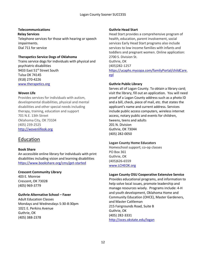# **Telecommunications**

**Relay Services** Telephone services for those with hearing or speech impairments. Dial 711 for service

# **Therapetics Service Dogs of Oklahoma**

Trains service dogs for individuals with physical and psychiatric disabilities 9433 East 51st Street South Tulsa OK 74145 (918) 270-4226 [www.therapetics.org](http://www.therapetics.org/)

## **Woven Life**

Provides services for individuals with autism, developmental disabilities, physical and mental disabilities and other special needs including therapy, training, education and support 701 N.E. 13th Street Oklahoma City, OK 73104 (405) 239-2525 [http://wovenlifeok.org](http://wovenlifeok.org/)

# Education

# **Book Share**

An accessible online library for individuals with print disabilities including vision and learning disabilities <https://www.bookshare.org/cms/get-started>

# **Crescent Community Library**

403 E. Monroe Crescent, OK 73028 (405) 969-3779

# **Guthrie Alternative School – Faver**

Adult Education Classes Mondays and Wednesdays 5:30-8:30pm 1021 E. Perkins Avenue Guthrie, OK (405) 388-2378

# **Guthrie Head Start**

Head Start provides a comprehensive program of health, education, parent involvement, social services Early Head Start programs also include services to low income families with infants and toddlers and pregnant women. Online application: 2700 S. Division St. Guthrie, OK (405)282-1257 [https://ucaphs.mycopa.com/familyPortal/childCare.](https://webmail.ouhsc.edu/owa/redir.aspx?C=vEGzBylqlWSSA5I0Esfg3C6YT_n_LWKqzWNafkoGTmT2OjbZScHYCA..&URL=https%3a%2f%2furldefense.proofpoint.com%2fv2%2furl%3fu%3dhttps-3A__ucaphs.mycopa.com_familyPortal_childCare.epl%26d%3dDwMFaQ%26c%3dVjzId-SM5S6aVB_cCGQ0d3uo9UfKByQ3sI6Audoy6dY%26r%3dC5M3lCHmTkEc2kzYjlUb36rGD-YsphdCt_FyvDhrDXY%26m%3doT6N7zyCCVUnQ7uYF_jnlGD9j3TI0D-V17o-xHx6NQE%26s%3dphP5XIh5jJwNtPOyctL4lTI2_oigcK95xIXBNCqBP4Y%26e%3d) [epl](https://webmail.ouhsc.edu/owa/redir.aspx?C=vEGzBylqlWSSA5I0Esfg3C6YT_n_LWKqzWNafkoGTmT2OjbZScHYCA..&URL=https%3a%2f%2furldefense.proofpoint.com%2fv2%2furl%3fu%3dhttps-3A__ucaphs.mycopa.com_familyPortal_childCare.epl%26d%3dDwMFaQ%26c%3dVjzId-SM5S6aVB_cCGQ0d3uo9UfKByQ3sI6Audoy6dY%26r%3dC5M3lCHmTkEc2kzYjlUb36rGD-YsphdCt_FyvDhrDXY%26m%3doT6N7zyCCVUnQ7uYF_jnlGD9j3TI0D-V17o-xHx6NQE%26s%3dphP5XIh5jJwNtPOyctL4lTI2_oigcK95xIXBNCqBP4Y%26e%3d)

# **Guthrie Public Library**

Serves all of Logan County. To obtain a library card; visit the library, fill out an application. You will need proof of a Logan County address such as a photo ID and a bill, check, piece of mail, etc. that states the applicant's name and current address. Services include public access computers, wireless internet access, notary public and events for children, tweens, teens and adults 201 N. Division Guthrie, OK 73044 (405) 282-0050

# **Logan County Home Educators**

Homeschool support; co-op classes PO Box 361 Guthrie, OK (405)626-6559 [www.LCHEOK.org](http://www.lcheok.org/)

# **Logan County OSU Cooperative Extensive Service**

Provides educational programs, and information to help solve local issues, promote leadership and manage resources wisely. Programs include: 4-H and youth development, Oklahoma Home and Community Education (OHCE), Master Gardeners, and Master Cattleman 215 Fairgrounds Road, Suite B Guthrie, OK (405) 282-3331 <http://oces.okstate.edu/logan>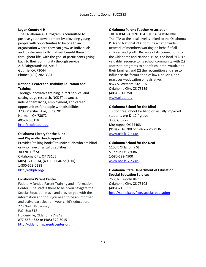#### **Logan County 4-H**

The Oklahoma 4-H Program is committed to positive youth development by providing young people with opportunities to belong to an organization where they can grow as individuals and master new skills that will benefit them throughout life, with the goal of participants giving back to their community through service 215 Fairgrounds Rd, Ste. B Guthrie, OK 73044 Phone: (405) 282-3331

## **National Center for Disability Education and Training**

Through innovative training, direct service, and cutting-edge research, NCDET advances independent living, employment, and career opportunities for people with disabilities 3200 Marshall Ave, Suite 201 Norman, OK 73072 405-325-0158 [http://ncdet.ou.edu](http://ncdet.ou.edu/)

# **Oklahoma Library for the Blind and Physically Handicapped**

Provides "talking books" to individuals who are blind or who have physical disabilities 300 NE 18th St Oklahoma City, OK 73105**73105** (405) 521-3514, (405) 521-4672 (TDD) 1-800-523-0288 <http://olbph.org/>

#### **Oklahoma Parent Center**

Federally funded Parent Training and Information Center. The staff is there to help you navigate the Special Education maze and provide you with the information and tools you need to be an informed and active participant in your child's education. 223 North Broadway P.O. Box 512 Holdenville, Oklahoma 74848 877-553-4332 or (405) 379-6015

[http://oklahomaparentscenter.org](http://oklahomaparentscenter.org/)

## **Oklahoma Parent Teacher Association THE LOCAL PARENT TEACHER ASSOCIATION**

The PTA at the local level is linked to the Oklahoma PTA and National PTA, forming a nationwide network of members working on behalf of all children and youth. Because of its connections to the Oklahoma and National PTAs, the local PTA is a valuable resource to its school community with (1) access to programs to benefit children, youth, and their families, and (2) the recognition and size to influence the formulation of laws, policies, and practices—education or legislative. 8524 S. Western, Ste. 107 Oklahoma City, OK 73139 (405) 681-0750 www.okpta.org

#### **Oklahoma School for the Blind**

Tuition free school for blind or visually impaired students pre-K -12<sup>th</sup> grade 3300 Gibson Muskogee, OK 74403 (918) 781-8200 or 1-877-229-7136 [www.osb.k12.ok.us](http://www.osb.k12.ok.us/)

#### **Oklahoma School for the Deaf**

1100 E Oklahoma St Sulphur, OK 73086 1-580-622-4900 [www.osd.k12.ok.us](http://www.osd.k12.ok.us/)

# **Oklahoma State Department of Education**

**Special Education Services** 2500 N. Lincoln Blvd. Oklahoma City, OK 73105 (405)521-3351 <http://sde.ok.gov/sde/special-education>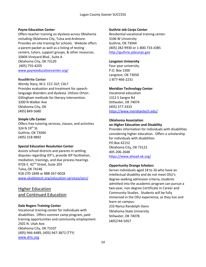#### **Payne Education Center**

Offers teacher training on dyslexia across Oklahoma including Oklahoma City, Tulsa and Ardmore. Provides on-site training for schools. Website offers a parent packet as well as a listing of testing centers, tutors, support groups, & other resources. 10404 Vineyard Blvd., Suite A Oklahoma City, OK 73120 (405) 755-4205 [www.payneeducationcenter.org/](http://www.payneeducationcenter.org/)

#### **ReadWrite Center**

Wendy Stacy, M.S. CCC-SLP, CALT Provides evaluation and treatment for speechlanguage disorders and dyslexia. Utilizes Orton-Gillingham methods for literacy intervention. 3200 N Walker Ave Oklahoma City, OK (405) 849-5680

#### **Simple Life Center**

Offers free tutoring services, classes, and activities 324 N 19th St. Guthrie, OK 73044 (405) 318-9892

#### **Special Education Resolution Center**

Assists school districts and parents in settling disputes regarding IEP's, provide IEP facilitation, mediation, trainings, and due process hearings 9726 E. 42<sup>nd</sup> Street, Suite 203 Tulsa, OK 74146 918-270-1848 or 888-267-0028 [www.okabletech.org/education-services/serc/](http://www.okabletech.org/education-services/serc/)

# Higher Education and Continued Education

#### **Dale Rogers Training Center**

Vocational training center for individuals with disabilities. Offers summer camp program, paid training opportunities and community employment. 2501 N. Utah Ave. Oklahoma City, OK 73107 (405) 946-4489, (405) 947-3872 (TTY) [www.drtc.org](http://www.drtc.org/)

## **Guthrie Job Corps Center**

Residential vocational training center. 3106 W University Guthrie, OK 73044 (405) 282-9930 or 1-800-733-JOBS [http://guthrie.jobcorps.gov](http://guthrie.jobcorps.gov/)

## **Langston University**

Four year university. P.O. Box 1500 Langston, OK 73050 1-877-466-2231

## **Meridian Technology Center**

Vocational education 1312 S Sangre Rd Stillwater, OK 74074 (405) 377-3333 <https://www.meridiantech.edu/>

#### **Oklahoma Association on Higher Education and Disability**

Provides information for individuals with disabilities considering higher education. Offers a scholarship for individuals with disabilities PO Box 42152 Oklahoma City, OK 73123 405-206-2648 <https://www.ahead-ok.org/>

#### **Opportunity Orange Scholars**

Serves individuals aged 18 to 26 who have an intellectual disability and do not meet OSU's degree-seeking admission criteria, students admitted into the academic program can pursue a two-year, non-degree Certificate in Career and Community Studies. Students will be fully immersed in the OSU experience, as they live and learn on campus. 233 Nancy Randolph Davis

Oklahoma State University Stillwater, OK 74078 (405)744-5057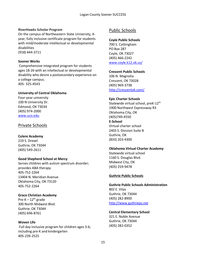#### **RiverHawks Scholar Program**

On the campus of Northeastern State University, 4 year, fully inclusive certificate program for students with mild/moderate intellectual or developmental disabilities

(918) 444-3711

#### **Sooner Works**

Comprehensive integrated program for students ages 18-26 with an intellectual or developmental disability who desire a postsecondary experience on a college campus. 405- 325-4543

#### **University of Central Oklahoma**

Four-year university 100 N University Dr. Edmond, OK 73034 (405) 974-2000 [www.uco.edu](http://www.uco.edu/index.asp)

# Private Schools

#### **Colere Academy**

219 S. Drexel Guthrie, OK 73044 (405) 549-2611

#### **Good Shepherd School at Mercy**

Serves children with autism spectrum disorder; provides ABA therapy 405-752-2264 13404 N. Meridian Avenue Oklahoma City, OK 73120 405-752-2264

#### **Grace Christian Academy**

Pre-K  $-12^{th}$  grade 300 North Midwest Blvd. Guthrie, OK 73044 (405) 696-8761

#### **Woven Life**

Full day inclusive program for children ages 3-6; including pre-K and kindergarten 405-239-2525

# Public Schools

#### **Coyle Public Schools**

700 S. Cottingham PO Box 287 Coyle, OK 73027 (405) 466-2242 [www.coyle.k12.ok.us/](http://www.coyle.k12.ok.us/)

**Crescent Public Schools**

106 N. Magnolia Crescent, OK 73028 (405) 969-3738 <http://crescentok.com/>

## **Epic Charter Schools**

Statewide virtual school, preK-12<sup>th</sup> 1900 Northwest Expressway R3 Oklahoma City, OK (405)749-4550 **E-School**  Virtual charter school 2403 S. Division Suite B Guthrie, OK (833) 203-4300

#### **Oklahoma Virtual Charter Academy**

Statewide virtual school 1160 S. Douglas Blvd. Midwest City, OK (405) 259-9478

#### **Guthrie Public Schools**

**Guthrie Public Schools Administration** 802 E. Vilas Guthrie, OK 73044 (405) 282-8900 [http://www.guthrieps.net](http://www.guthrieps.net/)

# **Central Elementary School**

321 E. Noble Avenue Guthrie, OK 73044 (405) 282-0352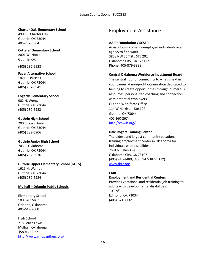#### **Charter Oak Elementary School**

4900 E. Charter Oak Guthrie, OK 73044 405-282-5964

**Cotteral Elementary School** 2001 W. Noble Guthrie, OK

(405) 282-5928

**Faver Alternative School** 1021 E. Perkins Guthrie, OK 73044 (405) 282-5941

**Fogarty Elementary School** 902 N. Wentz Guthrie, OK 73044 (405) 282-5923

**Guthrie High School** 200 Crooks Drive Guthrie, OK 73044 (405) 282-5906

**Guthrie Junior High School** 705 E. Oklahoma Guthrie, OK 73044 (405) 282-5936

**Guthrie Upper Elementary School (GUES)** 1615 N. Walnut Guthrie, OK 73044 (405) 282-5924

#### **Mulhall – Orlando Public Schools**

Elementary School 100 East Main Orlando, Oklahoma 405-649-2000

High School 215 South Lewis Mulhall, Oklahoma (580) 455-2211 <http://www.m-opanthers.org/>

# Employment Assistance

#### **AARP Foundation / SCSEP**

Assists low-income, unemployed individuals over age 55 to find work. 3838 NW 36th St., STE 202 Oklahoma City, OK 73112 Phone: 405-879-3899

#### **Central Oklahoma Workforce Investment Board**

The central hub for connecting to what's next in your career. A non-profit organization dedicated to helping to create opportunities through numerous resources, personalized coaching and connection with potential employers. Guthrie Workforce Office 114 W Harrison, Ste 104 Guthrie, OK 73044 405 260-2674 [http://cowib.org/](https://webmail.ouhsc.edu/owa/redir.aspx?C=Oyla3EbWd-xagSPnq5vUosjteLSaK-GqQYt4g5X-KepvfrfC55LXCA..&URL=https%3a%2f%2furldefense.proofpoint.com%2fv2%2furl%3fu%3dhttp-3A__cowib.org_%26d%3dDwMFAg%26c%3dVjzId-SM5S6aVB_cCGQ0d3uo9UfKByQ3sI6Audoy6dY%26r%3dC5M3lCHmTkEc2kzYjlUb36rGD-YsphdCt_FyvDhrDXY%26m%3d0C6Jw64UbzItNBYm7cr7dGEJqB2ns_wELTbz9QZNvG4%26s%3dE1JhKMBliEUY_13qlOBcdb0k4NbrrbIPpk86YtOVAfA%26e%3d)

#### **Dale Rogers Training Center**

The oldest and largest community vocational training employment center in Oklahoma for individuals with disabilities. 2501 N. Utah Ave. Oklahoma City, OK 73107 (405) 946-4489, (405) 947-3872 (TTY) [www.drtc.org](http://www.drtc.org/)

#### **EARC**

**Employment and Residential Centers** Provides vocational and residential job training to adults with developmental disabilities. 10 E 9th Edmond, OK 73034 (405) 341-7132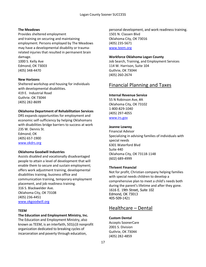#### **The Meadows**

Provides sheltered employment and training on securing and maintaining employment. Persons employed by The Meadows may have a developmental disability or traumarelated injuries that resulted in permanent brain damage. 1000 S. Kelly Ave Edmond, OK 73003

(405) 348-4470

#### **New Horizons**

Sheltered workshop and housing for individuals with developmental disabilities. 419 E. Industrial Road Guthrie. OK 73044 (405) 282-8699

#### **Oklahoma Department of Rehabilitation Services**

DRS expands opportunities for employment and economic self-sufficiency by helping Oklahomans with disabilities bridge barriers to success at work 235 W. Dennis St. Edmond, OK (405) 657-1900 [www.okdrs.org](http://www.okdrs.org/)

#### **Oklahoma Goodwill Industries**

Assists disabled and vocationally disadvantaged people to attain a level of development that will enable them to secure and sustain employment; offers work adjustment training, developmental disabilities training, business office and communication training, temporary employment placement, and job readiness training. 316 S. Blackwelder Ave. Oklahoma City, OK 73108 (405) 236-4451 [www.okgoodwill.org](http://www.okgoodwill.org/)

#### **TEEM**

#### **The Education and Employment Ministry, Inc.**

The Education and Employment Ministry, also known as TEEM, is an interfaith, 501(c)3 nonprofit organization dedicated to breaking cycles of incarceration and poverty through education,

personal development, and work readiness training. 1501 N. Classen Blvd Oklahoma City, OK 73016 (405) 235-5671 [www.teem.org](http://www.teem.org/)

#### **Workforce Oklahoma Logan County**

Job Search, Training, and Employment Services 114 W. Harrison, Suite 104 Guthrie, OK 73044 (405) 260-2674

# Financial Planning and Taxes

#### **Internal Revenue Service**

55 N Robinson Ave, #A Oklahoma City, OK 73102 1-800-829-1040 (405) 297-4055 [www.irs.gov](http://www.irs.gov/)

#### **Jeanne Lowrey**

Financial Advisor Specializing in advising families of individuals with special needs 6301 Waterford Blvd Suite 440 Oklahoma City, OK 73118-1148 (602) 689-4999

#### **Thrivent Financial**

Not for profit, Christian company helping families with special needs children to develop a comprehensive plan to meet a child's needs both during the parent's lifetime and after they gone. 1616 E. 19th Street, Suite 102 Edmond, OK 73013 405-509-1421

# Healthcare – Dental

# **Custom Dental**

Accepts SoonerCare 2001 S. Division Guthrie, OK 73044 (405) 282-4859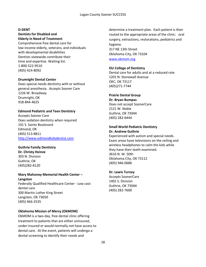#### **D-DENT**

#### **Dentists for Disabled and Elderly in Need of Treatment**

Comprehensive free dental care for low income elderly, veterans, and individuals with developmental disabilities Dentists statewide contribute their time and expertise. Waiting list. 1-800-522-9510 (405) 424-8092

#### **Drumright Dental Center**

Does special needs dentistry with or without general anesthesia. Accepts Sooner Care 1226 W. Broadway Drumright, OK 918-844-4625

#### **Edmond Pediatric and Teen Dentistry**

Accepts Sooner Care Does sedation dentistry when required 101 S. Saints Boulevard Edmond, OK (405) 513-8811 [http://www.edmondkidsdentist.com](http://www.edmondkidsdentist.com/)

#### **Guthrie Family Dentistry**

**Dr. Christy Heinze** 303 N. Division Guthrie, OK (405)282-8120

#### **Mary Mahoney Memorial Health Center – Langston** Federally Qualified Healthcare Center - Low cost

dental care 300 Martin Luther King Street Langston, OK 73050 (405) 466-2535

#### **Oklahoma Mission of Mercy (OkMOM)**

OkMOM is a two-day, free dental clinic offering treatment to patients that are either uninsured, under-insured or would normally not have access to dental care. At the event, patients will undergo a dental screening to identify their needs and

determine a treatment plan. Each patient is then routed to the appropriate areas of the clinic: oral surgery, extractions, restorations, pediatrics and hygiene. 317 NE 13th Street Oklahoma City, OK 73104 [www.okmom.org](http://www.okmom.org/)

#### **OU College of Dentistry**

Dental care for adults and at a reduced rate 1201 N. Stonewall Avenue OKC, OK 73117 (405)271-7744

# **Prairie Dental Group Dr. Bryan Bumpas**

Does not accept SoonerCare 2121 W. Noble Guthrie, OK 73044 (405) 282-6444

#### **Small World Pediatric Dentistry Dr. Andrew Guthrie**

Experienced with autism and special needs. Exam areas have televisions on the ceiling and wireless headphones to calm the kids while they have their teeth examined. 3616 N. W. 50th Oklahoma City, OK 73112 (405) 946-0686

#### **Dr. Lewis Turney**

Accepts SoonerCare 1401 S. Division Guthrie, OK 73044 (405) 282-7600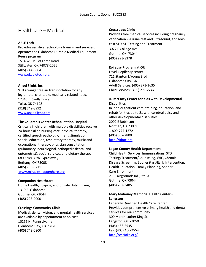# Healthcare – Medical

## **ABLE Tech**

Provides assistive technology training and services; operates the Oklahoma Durable Medical Equipment Reuse program 1514 W. Hall of Fame Road Stillwater, OK 74078-2026 (405) 744-9864 [www.okabletech.org](http://www.okabletech.org/)

## **Angel Flight, Inc.**

Will arrange free air transportation for any legitimate, charitable, medically related need. 12345 E. Skelly Drive Tulsa, OK 74128 (918) 749-8992 [www.angelflight.com](http://www.angelflight.com/)

## **The Children's Center Rehabilitation Hospital**

Critically ill children with multiple disabilities receive 24-hour skilled nursing care, physical therapy, certified speech pathology, infant stimulation, special education, respiratory therapy, music and occupational therapy, physician consultation (pulmonary, neurological, orthopedic dental and optometrist), social services, and dietary therapy. 6800 NW 39th Expressway Bethany, OK 73008 (405) 789-6711 [www.miracleshappenhere.org](http://www.miracleshappenhere.org/)

#### **Companion Healthcare**

Home Health, hospice, and private duty nursing 1310 E. Oklahoma Guthrie, OK 73044 (405) 293-9000

# **Crossings Community Clinic**

Medical, dental, vision, and mental health services are available by appointment at no cost. 10255 N. Pennsylvania Oklahoma City, OK 73120 (405) 749-0800

#### **Crossroads Clinic**

Provides free medical services including pregnancy verification via urine test and ultrasound, and lowcost STD-STI Testing and Treatment. 3077 E College Ave. Guthrie, OK 73044 (405) 293-8378

## **Epilepsy Program at OU**

Level 4 epilepsy center 711 Stanton L Young Blvd Oklahoma City, OK Adult Services: (405) 271-3635 Child Services: (405) 271-2244

# **JD McCarty Center for Kids with Developmental Disabilities**

In- and outpatient care, training, education, and rehab for kids up to 21 with cerebral palsy and other developmental disabilities. 2002 E Robinson Norman, OK 73071 1-800-777-1272 (405) 307-2800 [http://jdmc.org](http://jdmc.org/)

#### **Logan County Health Department**

Child Health Services, Immunizations, STD Testing/Treatment/Counseling, WIC, Chronic Disease Screening, SoonerStart/Early Intervention, Health Education, Family Planning, Sooner Care Enrollment 215 Fairgrounds Rd., Ste. A Guthrie, OK 73044 (405) 282-3485

# **Mary Mahoney Memorial Health Center – Langston**

Federally Qualified Health Care Center Provides comprehensive primary health and dental services for our community 300 Martin Luther King St. Langston, OK 73050 (405) 466-2535 Fax: (405) 466-2554 <http://chciokc.org/>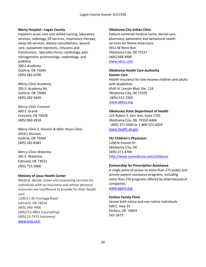#### **Mercy Hospital –Logan County**

Inpatient acute care and skilled nursing, laboratory services, radiology, ER services, respiratory therapy, sleep lab services, dietary consultations, wound care, outpatient injections, infusions and transfusions. Specialty clinics: cardiology, pain management, pulmonology, nephrology, and podiatry 200 S Academy Guthrie, OK 73044 (405) 282-6700

*Mercy Clinic Academy* 205 S. Academy Rd. Guthrie. OK 73044 (405) 282-9449

*Mercy Clinic Crescent* 400 S. Grand Crescent, OK 73028 (405) 969-2818

*Mercy Clinic S. Division & After Hours Clinic* 2919 S Division Guthrie, OK 73044 (405) 282-8383

*Mercy Clinic Waterloo*  301 E. Waterloo Edmond, OK 73013 (405) 715-2000

#### **Ministry of Jesus Health Center**

Medical, dental, vision and counseling services for individuals with no insurance and whose personal resources are insufficient to provide for their health care 1100 E I-35 Frontage Road Edmond, OK 73034 (405) 340-7400 (405)715-4851 (counseling) (405) 13-7472 (recovery) [www.moj.com](http://www.moj.com/)

## **Oklahoma City Indian Clinic**

Patient-centered medical home, dental care, pharmacy, optometry and behavioral health services for Native Americans 4913 W Reno Ave Oklahoma City, OK 73127 (405) 948-4900 [www.okcic.com](http://www.okcic.com/)

#### **Oklahoma Health Care Authority Sooner Care**

Health insurance for low-income children and adults with disabilities 4545 N. Lincoln Blvd, Ste. 124 Oklahoma City, OK 73105 (405) 522-7300 [www.okhca.org](http://www.okhca.org/)

## **Oklahoma State Department of Health**

123 Robert S. Kerr Ave, Suite 1702 Oklahoma City, OK 73102-6406 (405) 271-5600 or 1-800-522-0203 [www.health.ok.gov](http://www.health.ok.gov/)

# **OU Children's Physicians**

1200 N Everett Dr. Oklahoma City, OK (405) 271-4700 <http://www.oumedicine.com/childrens>

#### **Partnership for Prescription Assistance**

A single point of access to more than 275 public and private patient assistance programs, including more than 150 programs offered by pharmaceutical companies.

[www.pparx.org](http://www.pparx.org/)

# **Perkins Family Clinic**

Serves both native and non-native individuals 509 E. Hwy 33 Perkins, OK 74059 547-2473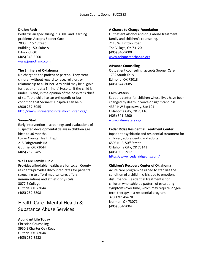## **Dr. Jon Roth**

Pediatrician specializing in ADHD and learning problems Accepts Sooner Care 2000 E. 15th Street Building 150, Suite A Edmond, OK (405) 348-6500 [www.jonrothmd.com](http://www.jonrothmd.com/)

#### **The Shriners of Oklahoma**

No charge to the patient or parent. They treat children without regard to race, religion, or relationship to a Shriner. Any child may be eligible for treatment at a Shriners' Hospital if the child is under 18 and, in the opinion of the hospital's chief of staff, the child has an orthopedic or burn condition that Shriners' Hospitals can help. (800) 237-5055 <http://www.shrinershospitalsforchildren.org/>

#### **SoonerStart**

Early intervention – screenings and evaluations of suspected developmental delays in children age birth to 36 months. Logan County Health Dept. 215 Fairgrounds Rd Guthrie, OK 73044 (405) 282-3485

#### **Well Care Family Clinic**

Provides affordable healthcare for Logan County residents-provides discounted rates for patients struggling to afford medical care, offers immunizations and athletic physicals. 3077 E College Guthrie, OK 73044 (405) 282-3898

# Health Care -Mental Health & Substance Abuse Services

# **Abundant Life Today**

Christian Counseling 3950 E Charter Oak Road Guthrie, OK 73044 (405) 282-8232

#### **A Chance to Change Foundation**

Outpatient alcohol and drug abuse treatment; family and children's counseling. 2113 W. Britton Road The Village, OK 73120 (405) 840-9000 [www.achancetochange.org](http://www.achancetochange.org/)

#### **Advance Counseling**

Outpatient counseling, accepts Sooner Care 1732 South Kelly Edmond, OK 73013 (405) 844-8085

#### **Calm Waters**

Support center for children whose lives have been changed by death, divorce or significant loss 4334 NW Expressway, Ste 101 Oklahoma City, OK 73116 (405) 841-4800 [www.calmwaters.org](http://www.calmwaters.org/)

#### **Cedar Ridge Residential Treatment Center**

Inpatient psychiatric and residential treatment for children, adolescents, and adults 6505 N. E. 50<sup>th</sup> Street Oklahoma City, OK 73141 (405) 605-5917 <https://www.cedarridgebhs.com/>

#### **Children's Recovery Center of Oklahoma**

Acute care program designed to stabilize the condition of a child in crisis due to emotional disturbance. Residential treatment is for children who exhibit a pattern of escalating symptoms over time, which may require longerterm therapy in a residential program. 320 12th Ave NE Norman, OK 73071 (405) 364-9004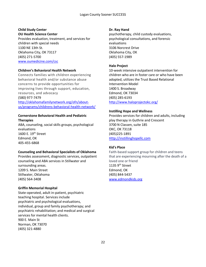# **Child Study Center**

**OU Health Science Center** Provides evaluation, treatment, and services for children with special needs 1100 NE 13th St. Oklahoma City, OK 73117

(405) 271-5700 [www.oumedicine.com/csc](http://www.oumedicine.com/csc)

#### **Children's Behavioral Health Network**

Connects families with children experiencing behavioral health and/or substance abuse concerns to provide opportunities for improving lives through support, education, resources, and advocacy (580) 977-7479 [http://oklahomafamilynetwork.org/ofn/about](http://oklahomafamilynetwork.org/ofn/about-us/programs/childrens-behavioral-health-network/)[us/programs/childrens-behavioral-health-network/](http://oklahomafamilynetwork.org/ofn/about-us/programs/childrens-behavioral-health-network/)

## **Cornerstone Behavioral Health and Pediatric Therapies**

ABA, counseling, social skills groups, psychological evaluations 1600 E. 19th Street Edmond, OK 405-455-6868

# **Counseling and Behavioral Specialists of Oklahoma**

Provides assessment, diagnostic services, outpatient counseling and ABA services in Stillwater and surrounding areas. 1209 S. Main Street Stillwater, Oklahoma (405) 564-3408

# **Griffin Memorial Hospital**

State-operated, adult in-patient, psychiatric teaching hospital. Services include psychiatric and psychological evaluations, individual, group and family psychotherapy; and psychiatric rehabilitation; and medical and surgical services for mental health clients. 900 E. Main St Norman, OK 73070 (405) 321-4880

#### **Dr. Ray Hand**

psychotherapy, child custody evaluations, psychological consultations, and forensic evaluations 3106 Norcrest Drive Oklahoma City, OK (405) 557-1989

## **Halo Project**

10-week intensive outpatient intervention for children who are in foster care or who have been adopted, utilizes the Trust Based Relational Intervention Model 1400 S. Broadway Edmond, OK 73034 (405) 285-6193 <http://www.haloprojectokc.org/>

## **Instilling Hope and Wellness**

Provides services for children and adults, including play therapy in Guthrie and Crescent 3700 N Classen, suite 185 OKC, OK 73118 (405)225-1891 [Http://instillinghopellc.com](http://instillinghopellc.com/)

#### **Kid's Place**

Faith-based support group for children and teens that are experiencing mourning after the death of a loved one or friend 1135  $9<sup>th</sup>$  Street Edmond, OK (405) 844-5437 [www.edmondkids.org](http://www.edmondkids.org/)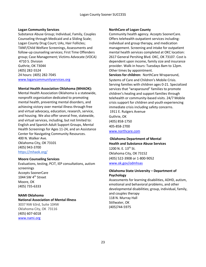#### **Logan Community Services**

Substance Abuse Group; Individual, Family, Couples Counseling through Medicaid and a Sliding Scale; Logan County Drug Court; UAs, Hair Follicles; TANF/Child Welfare Screenings, Assessments and follow-up counseling services; First Time Offenders group; Case Management; Victims Advocate (VOCA) 4710 S. Division Guthrie, OK 73044 (405) 282-5524 24 hours: (405) 282-7045 [www.logancommunityservices.org](http://www.logancommunityservices.org/)

#### **Mental Health Association Oklahoma (MHAOK):**

Mental Health Association Oklahoma is a statewide, nonprofit organization dedicated to promoting mental health, preventing mental disorders, and achieving victory over mental illness through free and virtual advocacy, education, research, service, and housing. We also offer several free, statewide, and virtual services, including, but not limited to: English and Spanish Adult Support Groups, Mental Health Screenings for Ages 11-24, and an Assistance Center for Navigating Community Resources. 400 N. Walker Ave. Oklahoma City, OK 73101 (405) 943-3700 <https://mhaok.org/>

#### **Moore Counseling Services**

Evaluations, testing, PCIT, IEP consultations, autism screenings Accepts SoonerCare 1044 SW 4<sup>th</sup> Street Moore, OK (405) 735-6333

#### **NAMI Oklahoma**

**National Association of Mental Illness** 3037 NW 63rd, Suite 104W Oklahoma City, OK 73116 (405) 607-6018 [www.nami.org](http://www.nami.org/)

#### **NorthCare of Logan County**

Community health agency. Accepts SoonerCare. Offers telehealth outpatient services including: individual and group therapy, and medication management. Screening and intake for outpatient mental health services completed at OKC location: 2617 General Pershing Blvd. OKC, OK 73107. Cost is dependent upon income, family size and insurance provider. Walk-in hours: Tuesdays 8am to 12pm. Other times by appointment.

**Services for children:** NorthCare Wraparound, Systems of Care and Children's Mobile Crisis. Serving families with children ages 0-21. Specialized services that "wraparound" families to promote children's healing and support families through telehealth or community-based visits. 24/7 Mobile crisis support for children and youth experiencing immediate crisis including safety concerns.

1911 E. Rutgers Avenue Guthrie, OK (405) 858-1750 405-858-2700

[www.northcare.com](http://www.northcare.com/)

#### **Oklahoma Department of Mental**

**Health and Substance Abuse Services**  1200 N. E. 13<sup>th</sup> St. Oklahoma City, OK 73152 (405) 522-3908 or 1-800-9052 [www.ok.gov/odmhsas](http://www.ok.gov/odmhsas)

## **Oklahoma State University – Department of Psychology**

Assessments for learning disabilities, ADHD, autism, emotional and behavioral problems, and other developmental disabilities; group, individual, family, and couples therapy 118 N. Murray Hall Stillwater, OK (405)744-5975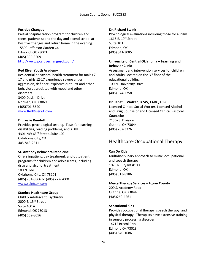#### **Positive Changes**

Partial hospitalization program for children and teens, patients spend the day and attend school at Positive Changes and return home in the evening. 15500 Jefferson Garden Ct. Edmond, OK 73003

(405) 330-8209 <http://www.positivechangesok.com/>

## **Red River Youth Academy**

Residential behavioral health treatment for males 7- 17 and girls 12-17 experience severe anger, aggression, defiance, explosive outburst and other behaviors associated with mood and other disorders. 3400 Deskin Drive Norman, OK 73069 (405)701-8520 [www.RedRiverYA.com](http://www.redriverya.com/)

## **Dr. Leslie Rundell**

Provides psychological testing. Tests for learning disabilities, reading problems, and ADHD 4301 NW 63rd Street, Suite 102 Oklahoma City, OK 405-848-2511

#### **St. Anthony Behavioral Medicine**

Offers inpatient, day treatment, and outpatient programs for children and adolescents, including drug and alcohol treatment. 100 N. Lee Oklahoma City, OK 73101 (405) 231-8866 or (405) 272-7000 www.saintsok.com

# **Stanbro Healthcare Group**

Child & Adolescent Psychiatry 2000 E. 15<sup>th</sup> Street Suite 400 A Edmond, OK 73013 (405) 509-8056

## **Dr. Richard Swink**

Psychological evaluations including those for autism 1616 E. 19<sup>th</sup> Street Suite 103 Edmond, OK (405) 341-3085

## **University of Central Oklahoma – Learning and Behavior Clinic**

Assessment and intervention services for children and adults, located on the 3<sup>rd</sup> floor of the educational building 100 N. University Drive Edmond, OK (405) 974-2758

## **Dr. Janet L. Walker, LCSW, LADC, LCPC**

Licensed Clinical Social Worker, Licensed Alcohol and Drug Counselor and Licensed Clinical Pastoral Counselor 215 ½ S. Division Guthrie, OK 73044 (405) 282-3326

# Healthcare-Occupational Therapy

# **Can Do Kids**

Multidisciplinary approach to music, occupational, and speech therapy 1073 N. Bryant #100 Edmond, OK (405) 513-8186

#### **Mercy Therapy Services – Logan County**

200 S. Academy Road Guthrie, OK 73044 (405)260-4261

#### **Sensational Kids**

Provides occupational therapy, speech therapy, and physical therapy. Therapists have extensive training in sensory processing disorder. 14715 Bristol Park Edmond Ok 73013 (405) 840-1686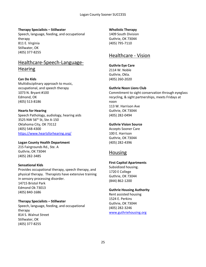## **Therapy Specialists – Stillwater**

Speech, language, feeding, and occupational therapy 811 E. Virginia Stillwater, OK (405) 377-8255

# Healthcare-Speech-Language-**Hearing**

**Can Do Kids** Multidisciplinary approach to music, occupational, and speech therapy 1073 N. Bryant #100 Edmond, OK (405) 513-8186

## **Hearts for Hearing**

Speech Pathology, audiology, hearing aids 3525 NW 56th St, Ste A-150 Oklahoma City, OK 73112 (405) 548-4300 <https://www.heartsforhearing.org/>

**Logan County Health Department** 215 Fairgrounds Rd., Ste. A Guthrie, OK 73044 (405) 282-3485

#### **Sensational Kids**

Provides occupational therapy, speech therapy, and physical therapy. Therapists have extensive training in sensory processing disorder. 14715 Bristol Park Edmond Ok 73013

(405) 840-1686

## **Therapy Specialists – Stillwater**

Speech, language, feeding, and occupational therapy 814 S. Walnut Street Stillwater, OK (405) 377-8255

#### **Wholistic Therapy**

1409 South Division Guthrie, OK 73044 (405) 795-7110

# Healthcare - Vision

# **Guthrie Eye Care**

2114 W. Noble Guthrie, Okla. (405) 260-2020

## **Guthrie Noon Lions Club**

Commitment to sight conservation through eyeglass recycling, & sight partnerships, meets Fridays at noon 113 W. Harrison Ave Guthrie, OK 73044 (405) 282-0494

# **Guthrie Vision Source**

Accepts Sooner Care 100 E. Harrison Guthrie, OK 73044 (405) 282-4396

# Housing

# **First Capitol Apartments**

Subsidized housing. 1720 E College Guthrie, OK 73044 (844) 862-1200

#### **Guthrie Housing Authority**

Rent assisted housing 1524 E. Perkins Guthrie, OK 73044 (405) 282-3246 [www.guthriehousing.org](http://www.guthriehousing.org/)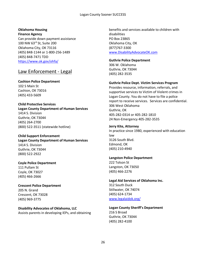#### Logan County Sooner SUCCESS

#### **Oklahoma Housing**

**Finance Agency** Can provide down payment assistance 100 NW 63rd St, Suite 200 Oklahoma City, OK 73116 (405) 848-1144 or 1-800-256-1489 (405) 848-7471 TDD <https://www.ok.gov/ohfa/>

# Law Enforcement - Legal

**Cashion Police Department** 102 S Main St Cashion, OK 73016 (405) 433-5609

#### **Child Protective Services**

**Logan County Department of Human Services** 1414 S. Division Guthrie, OK 73044 (405) 264-2700 (800) 522-3511 (statewide hotline)

#### **Child Support Enforcement**

**Logan County Department of Human Services** 1414 S. Division Guthrie, OK 73044 (800) 522-2922

**Coyle Police Department** 111 Pullam St Coyle, OK 73027 (405) 466-2666

**Crescent Police Department** 205 N. Grand Crescent, OK 73028 (405) 969-3775

**Disability Advocates of Oklahoma, LLC** Assists parents in developing IEPs, and obtaining benefits and services available to children with disabilities PO Box 23865 Oklahoma City, OK (877)767-3300 [www.DisabilityAdvocateOK.com](http://www.disabilityadvocateok.com/)

#### **Guthrie Police Department**

306 W. Oklahoma Guthrie, OK 73044 (405) 282-3535

#### **Guthrie Police Dept. Victim Services Program**

Provides resource, information, referrals, and supportive services to Victim of Violent crimes in Logan County. You do not have to file a police report to receive services. Services are confidential. 306 West Oklahoma Guthrie, OK 405-282-0314 or 405-282-1810 24 Non-Emergency 405-282-3535

#### **Jerry Kite, Attorney**

In practice since 1980, experienced with education law 3126 South Blvd. Edmond, OK (405) 210-4940

#### **Langston Police Department**

222 Tolson St Langston, OK 73050 (405) 466-2276

**Legal Aid Services of Oklahoma Inc.** 312 South Duck Stillwater, OK 74074 (405) 624-1734 [www.legalaidok.org/](http://www.legalaidok.org/)

**Logan County Sheriff's Department** 216 S Broad Guthrie, OK 73044 (405) 282-4100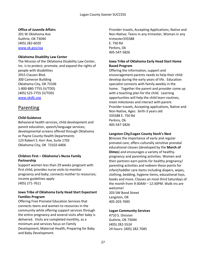## **Office of Juvenile Affairs**

201 W Oklahoma Ave Guthrie, OK 73044 (405) 282-6020 [www.ok.gov/oja](http://www.ok.gov/oja)

#### **Oklahoma Disability Law Center**

The Mission of the Oklahoma Disability Law Center, Inc. is to protect, promote, and expand the rights of people with disabilities 2915 Classen Blvd. 300 Cameron Building Oklahoma City, OK 73106 1-800-880-7755 (V/TDD) (405) 525-7755 (V/TDD) [www.okdlc.org](http://www.okdlc.org/)

# Parenting

# **Child Guidance**

Behavioral health services, child development and parent education, speech/language services; developmental screens offered through Oklahoma or Payne County Health Departments 123 Robert S. Kerr Ave, Suite 1702 Oklahoma City, OK 73102-6406

# **Children First – Oklahoma's Nurse Family Partnership**

Support women less than 29 weeks pregnant with first child; provides nurse visits to monitor pregnancy and baby; connects mother to resources; income guidelines apply (405) 271-7611

# **Iowa Tribe of Oklahoma Early Head Start Expectant Families Program**

Offering Free Prenatal Education Services that connects teens and women to resources in the community while offering support services through the entire pregnancy and several visits after baby is delivered. Visits are completed monthly, as a minimum and services focus on Family Development, Maternal Health, Preparing for Baby and Baby Development.

Provider travels, Accepting Applications, Native and Non-Native; Teens in any trimester, Woman in any trimester335588 E. 750 Rd Perkins, Ok 405-547-5826

## **Iowa Tribe of Oklahoma Early Head Start Home Based Program**

Offering the information, support and encouragement parents needs to help their child develop during the early years of life. Education specialist connects with family weekly in the home. Together the parent and provider come up with a teaching plan for the child. Learning opportunities will help the child learn routines, meet milestones and interact with parent. Provider travels, Accepting applications, Native and Non-Native, Ages: birth-3 years old 335588 E. 750 Rd Perkins, Ok 405-547-5826

## **Langston City/Logan County Stork's Nest**

**S**tresses the importance of early and regular prenatal care, offers culturally sensitive prenatal educational classes (developed by the **March of Dimes**) and encourages a variety of healthypregnancy and parenting activities. Women and their partners earn points for healthy pregnancy/ parenting activities and redeem these points for infant/toddler care items including diapers, wipes, clothing, bedding, hygiene items, educational toys, books and more**.** Classes on most third Saturdays of the month from 9:30AM – 12:30PM. Walk-ins are welcome! 203 SW Bond Street Langston, OK 405-203-7695

#### **Logan Community Services**

4710 S. Division Guthrie, OK 73044 (405) 282-5524 24 hours: (405) 282-7045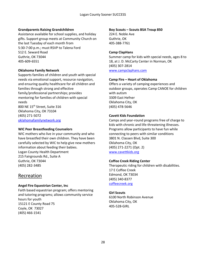## **Grandparents Raising Grandchildren**

Assistance available for school supplies, and holiday gifts. Support group meets at Community Church on the last Tuesday of each month from 5:30-7:00 p.m.; must RSVP to Talena Ford 512 E. Seward Road Guthrie, OK 73044 405-609-6551

## **Oklahoma Family Network**

Supports families of children and youth with special needs via emotional support, resource navigation, and ensuring quality healthcare for all children and families through strong and effective family/professional partnerships; provides mentoring for families of children with special needs 800 NE 15th Street, Suite 316 Oklahoma City, OK 73104 (405) 271-5072 oklahomafamilynetwork.org

## **WIC Peer Breastfeeding Counselors**

WIC mothers who live in your community and who have breastfed their own children. They have been carefully selected by WIC to help give new mothers information about feeding their babies. Logan County Health Department 215 Fairgrounds Rd., Suite A Guthrie, OK 73044 (405) 282-3485

# Recreation

# **Angel Fire Equestrian Center, Inc**

Faith based equestrian program; offers mentoring and tutoring programs; allows community service hours for youth 15121 E County Road 75 Coyle, OK 73027 (405) 466-1541

#### **Boy Scouts – Scouts BSA Troup 850**

224 E. Noble Ave Guthrie, OK 405-388-7761

#### **Camp ClapHans**

Summer camp for kids with special needs, ages 8 to 18, at J. D. McCarty Center in Norman, OK (405) 307-2814 [www.campclaphans.com](http://www.campclaphans.com/)

#### **Camp Fire – Heart of Oklahoma**

Offers a variety of camping experiences and outdoor groups, operates Camp CANOE for children with autism 3309 East Hefner Oklahoma City, OK (405) 478-5646

#### **Cavett Kids Foundation**

Camps and year-round programs free of charge to kids with chronic and life-threatening illnesses. Programs allow participants to have fun while connecting to peers with similar conditions 3801 N. Classen Blvd, Suite 300 Oklahoma City, OK (405) 271-2271 (Opt. 2) [www.cavettkids.org](http://www.cavettkids.org/)

#### **Coffee Creek Riding Center**

Therapeutic riding for children with disabilities. 17 E Coffee Creek Edmond, OK 73034 (405) 340-8377 coffeecreek.org

#### **Girl Scouts**

6100 North Robinson Avenue Oklahoma City, OK 405-528-GIRL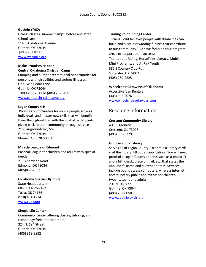#### Logan County Sooner SUCCESS

#### **Guthrie YMCA**

Fitness classes, summer camps, before and after school care 114 E. Oklahoma Avenue Guthrie, OK 73044 (405) 282 8206 [www.ymcaokc.org](http://www.ymcaokc.org/)

# **Make Promises Happen**

#### **Central Oklahoma Christian Camp**

Camping and outdoor recreational opportunities for persons with disabilities and serious illnesses. One Twin Cedar Lane Guthrie, OK 73044 1-800-299-2811 or (405) 282-2811 [www.centralchristiancamp.org](http://www.centralchristiancamp.org/)

#### **Logan County 4-H**

Provides opportunities for young people grow as individuals and master new skills that will benefit them throughout life, with the goal of participants giving back to their community through service 215 Fairgrounds Rd, Ste. B Guthrie, OK 73044 Phone: (405) 282-3331

#### **Miracle League of Edmond**

Baseball league for children and adults with special needs 711 Aberdeen Road Edmond, OK 73034 (405)850-7603

#### **Oklahoma Special Olympics**

State Headquarters 6835 S Canton Ave Tulsa, OK 74136 (918) 481-1234 [www.sook.org](http://www.sook.org/)

#### **Simple Life Center**

Community center offering classes, tutoring, and technology free entertainment 324 N. 19<sup>th</sup> Street Guthrie, OK 73044 (405) 318-9892

#### **Turning Point Riding Center**

Turning Point believes people with disabilities can build and sustain rewarding futures that contribute to our community. And we focus on four program areas to support their success: Therapeutic Riding, HorseTales Literacy, Mobile Mini Programs, and At Risk Youth 385 S Country Club Rd., Stillwater, OK 74074 (405) 269-2225

#### **Wheelchair Getaways of Oklahoma**

Accessible Van Rentals (405) 503-2676 [www.wheelchairgetaways.com](http://www.wheelchairgetaways.com/)

# Resource Information

#### **Crescent Community Library**

403 E. Monroe Crescent, OK 73028 (405) 969-3779

#### **Guthrie Public Library**

Serves all of Logan County. To obtain a library card; visit the library, fill out an application. You will need proof of a Logan County address such as a photo ID and a bill, check, piece of mail, etc. that states the applicant's name and current address. Services include public access computers, wireless internet access, notary public and events for children, tweens, teens and adults 201 N. Division Guthrie, OK 73044 (405) 282-0050 [www.guthrie.okpls.org](http://www.guthrie.okpls.org/)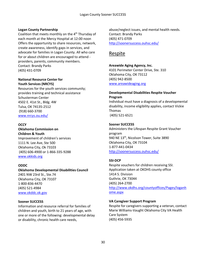#### **Logan County Partnership**

Coalition that meets monthly on the 4<sup>th</sup> Thursday of each month at the Mercy Hospital at 12:00 noon Offers the opportunity to share resources, network, create awareness, identify gaps in services, and advocate for families in Logan County. All who care for or about children are encouraged to attend providers, parents, community members. Contact: Brandy Parks (405) 431-0709

# **National Resource Center for Youth Services (NRCYS)**

Resources for the youth services community; provides training and technical assistance Schusterman Center 4502 E. 41st St., Bldg. 4W Tulsa, OK 74135-2512 (918) 660-3700 [www.nrcys.ou.edu/](http://www.nrcys.ou.edu/)

# **OCCY**

**Oklahoma Commission on Children & Youth** Improvement of children's services 1111 N. Lee Ave, Ste 500 Oklahoma City, Ok 73103 (405) 606-4900 or 1-866-335-9288 [www.okkids.org](http://www.okkids.org/)

#### **ODDC**

#### **Oklahoma Developmental Disabilities Council**

2401 NW 23rd St., Ste.74 Oklahoma City, OK 73107 1-800-836-4470 (405) 521-4984 [www.okddc.ok.gov](http://www.okddc.ok.gov/)

#### **Sooner SUCCESS**

Information and resource referral for families of children and youth, birth to 21 years of age, with one or more of the following: developmental delay or disability, chronic health care needs,

abuse/neglect issues, and mental health needs. Contact: Brandy Parks (405) 471-0709 <http://soonersuccess.ouhsc.edu/>

# Respite

#### **Areawide Aging Agency, Inc.**

4101 Perimeter Center Drive, Ste. 310 Oklahoma City, OK 73112 (405) 942-8500 [www.areawideaging.org](http://www.areawideaging.org/)

#### **Developmental Disabilities Respite Voucher Program**

Individual must have a diagnosis of a developmental disability, income eligibility applies, contact Vickie Thomas (405) 521-6521

#### **Sooner SUCCESS**

Administers the Lifespan Respite Grant Voucher program 940 NE 13<sup>th</sup>, Nicolson Tower, Suite 3890 Oklahoma City, OK 73104 1-877-441-0434 <http://soonersuccess.ouhsc.edu/>

#### **SSI-DCP**

Respite vouchers for children receiving SSI. Application taken at OKDHS county office 1414 S. Division Guthrie, OK 73044 (405) 264-2700 [http://www.okdhs.org/countyoffices/Pages/loganh](http://www.okdhs.org/countyoffices/Pages/loganhome.aspx) [ome.aspx](http://www.okdhs.org/countyoffices/Pages/loganhome.aspx)

#### **VA Caregiver Support Program**

Respite for caregivers supporting a veteran, contact Marie Williams-Vaught Oklahoma City VA Health Care System (405) 456-5935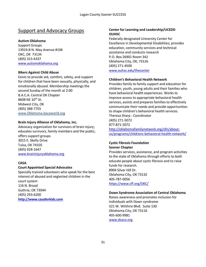# Support and Advocacy Groups

## **Autism Oklahoma**

Support Groups 13919-B N. May Avenue #106 OKC, OK 73134 (405) [315-6337](tel:4053156337) [www.autismoklahoma.org](http://www.autismoklahoma.org/)

## **Bikers Against Child Abuse**

Exists to provide aid, comfort, safety, and support for children that have been sexually, physically, and emotionally abused. Membership meetings the second Sunday of the month at 2:00 B.A.C.A. Central OK Chapter 8608 NE 10<sup>th</sup> St. Midwest City, OK (405) 388-7755 www.Oklahoma.bacaworld.org

## **Brain Injury Alliance of Oklahoma, Inc.**

Advocacy organization for survivors of brain injury; educates survivors, family members and the public; offers support groups 3015 E. Skelly Drive Tulsa, OK 74105 (405) 928-1647 [www.braininjuryoklahoma.org](http://www.braininjuryoklahoma.org/)

# **CASA**

# **Court Appointed Special Advocates**

Specially trained volunteers who speak for the best interest of abused and neglected children in the court system 116 N. Broad Guthrie, OK 73044 (405) 293-6200 **[http://www.casaforkids.com](http://www.casaforkids.com/)**

# **Center for Learning and Leadership/UCEDD OUHSC**

Federally designated University Center for Excellence in Developmental Disabilities; provides education, community services and technical assistance and conducts research P.O. Box 26901 Room 342 Oklahoma City, OK, 73126 (405) 271-4500 [www.ouhsc.edu/thecenter](http://www.ouhsc.edu/thecenter)

#### **Children's Behavioral Health Network**

Provides family to family support and education for children, youth, young adults and their families who have behavioral health experiences. Works to improve access to appropriate behavioral health services, assists and prepares families to effectively communicate their needs and provide opportunities to shape children's behavioral health services. Theresa Sharp - Coordinator (405) 271-5072 877-871-5072 [http://oklahomafamilynetwork.org/ofn/about](http://oklahomafamilynetwork.org/ofn/about-us/programs/childrens-behavioral-health-network/)[us/programs/childrens-behavioral-health-network/](http://oklahomafamilynetwork.org/ofn/about-us/programs/childrens-behavioral-health-network/)

## **Cystic Fibrosis Foundation Sooner Chapter**

Provides services, assistance, and program activities to the state of Oklahoma through efforts to both educate people about cystic fibrosis and to raise funds for research. 8904 Silver Hill Dr. Oklahoma City, OK 73132 405-787-0056 <https://www.cff.org/OKC/>

#### **Down Syndrome Association of Central Oklahoma**

Raises awareness and promotes inclusion for individuals with Down syndrome 521 W. Wilshire Blvd. Suite 130 Oklahoma City, OK 73116 405-600-9981 [www.dsaco.org](http://www.dsaco.org/)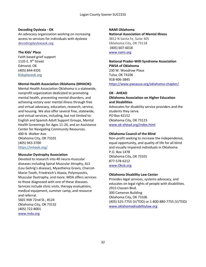#### **Decoding Dyslexia - OK**

An advocacy organization working on increasing access to services for individuals with dyslexia decodingdyslexiaok.org

#### **The Kids' Place**

Faith based grief support 1135 E. 9<sup>th</sup> Street Edmond, OK (405) 844-KIDS Kidsplaceok.org

#### **Mental Health Association Oklahoma (MHAOK):**

Mental Health Association Oklahoma is a statewide, nonprofit organization dedicated to promoting mental health, preventing mental disorders, and achieving victory over mental illness through free and virtual advocacy, education, research, service, and housing. We also offer several free, statewide, and virtual services, including, but not limited to: English and Spanish Adult Support Groups, Mental Health Screenings for Ages 11-24, and an Assistance Center for Navigating Community Resources. 400 N. Walker Ave. Oklahoma City, OK 73101 (405) 943-3700 <https://mhaok.org/>

#### **Muscular Dystrophy Association**

Devoted to research into 40 neuro-muscular diseases including Spinal Muscular Atrophy, ALS (Lou Gehrig's disease), Myasthenia Gravis, Charcot-Marie-Tooth, Friedreich's Ataxia, Polymyositis, Muscular Dystrophy, and more. MDA offers services to those diagnosed with one of these diseases. Services include clinic visits, therapy evaluations, medical equipment, summer camp, and resource and referral. 5601 NW 72nd St., #124 Oklahoma City, OK 73132 (405) 722-8001

[www.mda.org](http://www.mda.org/)

**NAMI Oklahoma National Association of Mental Illness** 3812 N Santa Fe, Suite 305 Oklahoma City, OK 73118 (405) 607-6018 [www.nami.org](http://www.nami.org/)

## **National Prader-Willi Syndrome Association PWSA of Oklahoma** 230 W. Woodrow Place Tulsa, OK 74106 918-406-3845 <https://www.pwsausa.org/oklahoma-chapter/>

#### **OK - AHEAD**

# **Oklahoma Association on Higher Education and Disabilities** Advocates for disability service providers and the students they serve. PO Box 42152 Oklahoma City, OK 73123 [www.ok-ahead.org/index.html](http://www.ok-ahead.org/index.html)

#### **Oklahoma Council of the Blind**

Non-profit seeking to increase the independence, equal opportunity, and quality of life for all blind and visually impaired individuals in Oklahoma P.O. Box 1478 Oklahoma City, OK 73101 877-578-6212 [www.Okcb.org](http://www.okcb.org/)

#### **Oklahoma Disability Law Center**

Provides legal services, systems advocacy, and educates on legal rights of people with disabilities. 2915 Classen Blvd. 300 Cameron Building Oklahoma City, OK 73106 (405) 525-7755 (V/TDD) or 1-800-880-7755 (V/TDD) [www.oklahomadisabilitylaw.org](http://www.oklahomadisabilitylaw.org/)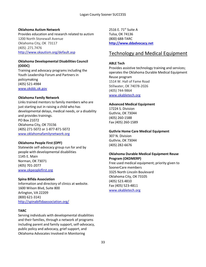#### **Oklahoma Autism Network**

Provides education and research related to autism 1200 North Stonewall Avenue Oklahoma City, OK 73117 (405) .271.7476 <http://www.okautism.org/default.asp>

# **Oklahoma Developmental Disabilities Council (ODDC)**

Training and advocacy programs including the Youth Leadership Forum and Partners in policymaking (405) 521-4984 [www.okddc.ok.gov](http://www.okddc.ok.gov/)

## **Oklahoma Family Network**

Links trained mentors to family members who are just starting out in raising a child who has developmental delays, medical needs, or a disability and provides trainings. PO Box 21072 Oklahoma City, OK 73156 (405) 271-5072 or 1-877-871-5072 [www.oklahomafamilynetwork.org](http://www.oklahomafamilynetwork.org/)

# **Oklahoma People First (OPF)**

Statewide self-advocacy group run for and by people with developmental disabilities 1145 E. Main Norman, OK 73071 (405) 701-2077 [www.okpeoplefirst.org](http://www.okpeoplefirst.org/)

#### **Spina Bifida Association**

Information and directory of clinics at website. 1600 Wilson Blvd, Suite 800 Arlington, VA 22209 (800) 621-3141 <http://spinabifidaassociation.org/>

# **TARC**

Serving individuals with developmental disabilities and their families, through a network of programs including parent and family support, self-advocacy, public policy and advocacy, grief support, and Oklahoma Advocates Involved in Monitoring

2516 E. 71<sup>st</sup> Suite A Tulsa, OK 74136 (800) 688-TARC **[http://www.ddadvocacy.net](http://www.ddadvocacy.net/)**

# Technology and Medical Equipment

## **ABLE Tech**

Provides assistive technology training and services; operates the Oklahoma Durable Medical Equipment Reuse program 1514 W. Hall of Fame Road Stillwater, OK 74078-2026 (405) 744-9864 [www.okabletech.org](http://www.okabletech.org/)

#### **Advanced Medical Equipment**

17224 S. Division Guthrie, OK 73044 (405) 260-1588 Fax (405) 260-1589

#### **Guthrie Home Care Medical Equipment**

307 N. Division Guthrie, OK 73044 (405) 282-6676

## **Oklahoma Durable Medical Equipment Reuse Program (OKDMERP)**

Free used medical equipment; priority given to SoonerCare members 3325 North Lincoln Boulevard Oklahoma City, OK 73105 (405) 523.4810 Fax (405) 523-4811 [www.okabletech.org](http://www.okabletech.org/)